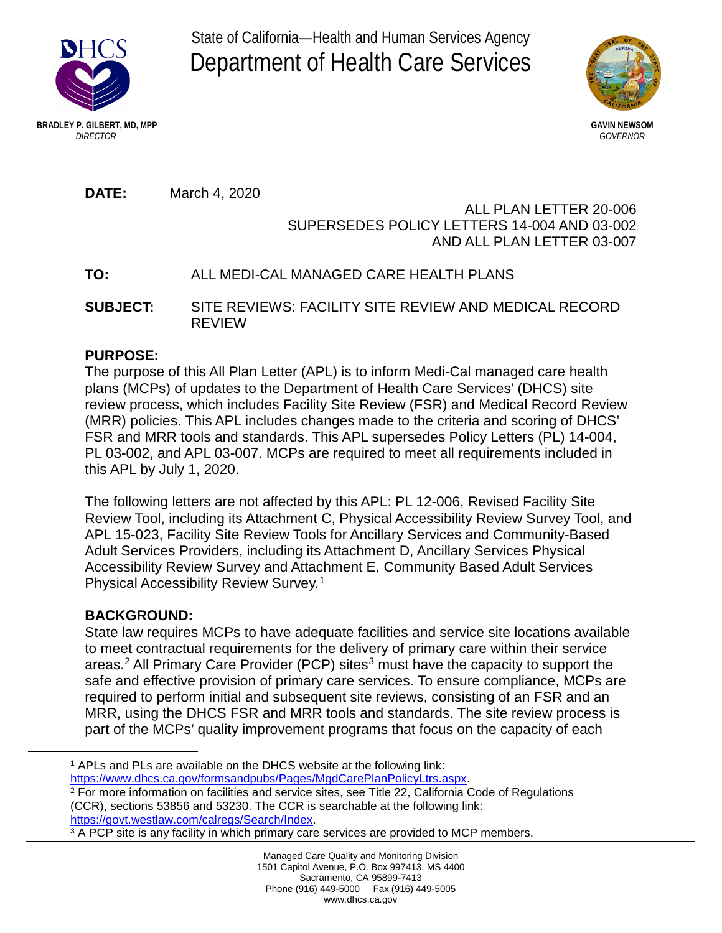State of California—Health and Human Services Agency Department of Health Care Services





**DATE:** March 4, 2020

## ALL PLAN LETTER 20-006 SUPERSEDES POLICY LETTERS 14-004 AND 03-002 AND ALL PLAN LETTER 03-007

# **TO:** ALL MEDI-CAL MANAGED CARE HEALTH PLANS

**SUBJECT:** SITE REVIEWS: FACILITY SITE REVIEW AND MEDICAL RECORD REVIEW

## **PURPOSE:**

The purpose of this All Plan Letter (APL) is to inform Medi-Cal managed care health plans (MCPs) of updates to the Department of Health Care Services' (DHCS) site review process, which includes Facility Site Review (FSR) and Medical Record Review (MRR) policies. This APL includes changes made to the criteria and scoring of DHCS' FSR and MRR tools and standards. This APL supersedes Policy Letters (PL) 14-004, PL 03-002, and APL 03-007. MCPs are required to meet all requirements included in this APL by July 1, 2020.

The following letters are not affected by this APL: PL 12-006, Revised Facility Site Review Tool, including its Attachment C, Physical Accessibility Review Survey Tool, and APL 15-023, Facility Site Review Tools for Ancillary Services and Community-Based Adult Services Providers, including its Attachment D, Ancillary Services Physical Accessibility Review Survey and Attachment E, Community Based Adult Services Physical Accessibility Review Survey.1

## **BACKGROUND:**

 $\overline{a}$ 

State law requires MCPs to have adequate facilities and service site locations available to meet contractual requirements for the delivery of primary care within their service areas.<sup>2</sup> All Primary Care Provider (PCP) sites<sup>3</sup> must have the capacity to support the safe and effective provision of primary care services. To ensure compliance, MCPs are required to perform initial and subsequent site reviews, consisting of an FSR and an MRR, using the DHCS FSR and MRR tools and standards. The site review process is part of the MCPs' quality improvement programs that focus on the capacity of each

<sup>1</sup> APLs and PLs are available on the DHCS website at the following link: [https://www.dhcs.ca.gov/formsandpubs/Pages/MgdCarePlanPolicyLtrs.aspx.](https://www.dhcs.ca.gov/formsandpubs/Pages/MgdCarePlanPolicyLtrs.aspx)

<sup>2</sup> For more information on facilities and service sites, see Title 22, California Code of Regulations (CCR), sections 53856 and 53230. The CCR is searchable at the following link: [https://govt.westlaw.com/calregs/Search/Index.](https://govt.westlaw.com/calregs/Search/Index)

<sup>&</sup>lt;sup>3</sup> A PCP site is any facility in which primary care services are provided to MCP members.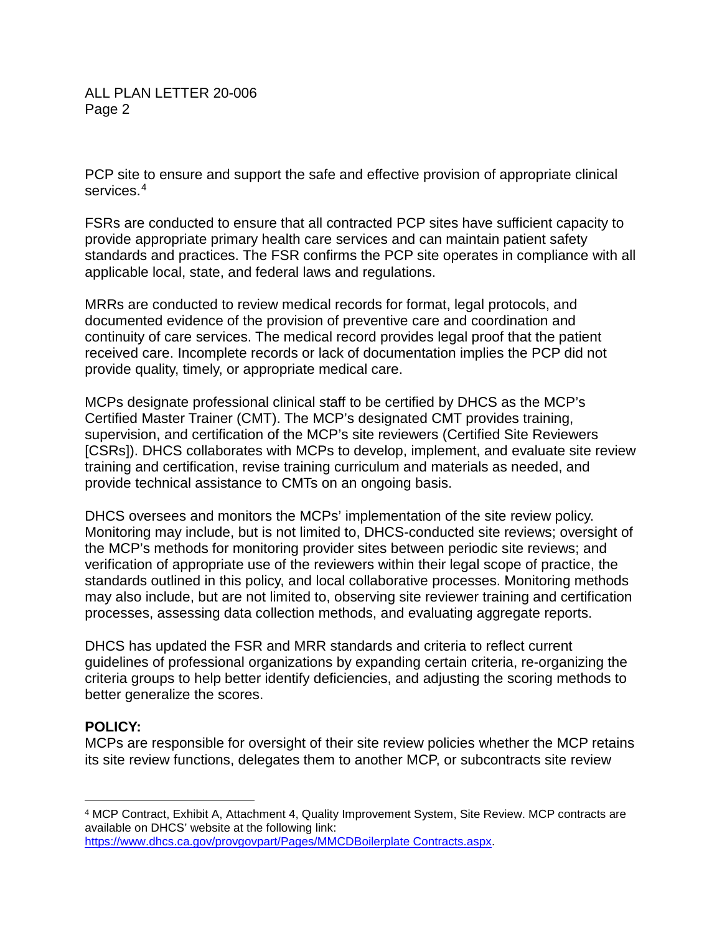PCP site to ensure and support the safe and effective provision of appropriate clinical services.<sup>4</sup>

FSRs are conducted to ensure that all contracted PCP sites have sufficient capacity to provide appropriate primary health care services and can maintain patient safety standards and practices. The FSR confirms the PCP site operates in compliance with all applicable local, state, and federal laws and regulations.

MRRs are conducted to review medical records for format, legal protocols, and documented evidence of the provision of preventive care and coordination and continuity of care services. The medical record provides legal proof that the patient received care. Incomplete records or lack of documentation implies the PCP did not provide quality, timely, or appropriate medical care.

MCPs designate professional clinical staff to be certified by DHCS as the MCP's Certified Master Trainer (CMT). The MCP's designated CMT provides training, supervision, and certification of the MCP's site reviewers (Certified Site Reviewers [CSRs]). DHCS collaborates with MCPs to develop, implement, and evaluate site review training and certification, revise training curriculum and materials as needed, and provide technical assistance to CMTs on an ongoing basis.

DHCS oversees and monitors the MCPs' implementation of the site review policy. Monitoring may include, but is not limited to, DHCS-conducted site reviews; oversight of the MCP's methods for monitoring provider sites between periodic site reviews; and verification of appropriate use of the reviewers within their legal scope of practice, the standards outlined in this policy, and local collaborative processes. Monitoring methods may also include, but are not limited to, observing site reviewer training and certification processes, assessing data collection methods, and evaluating aggregate reports.

DHCS has updated the FSR and MRR standards and criteria to reflect current guidelines of professional organizations by expanding certain criteria, re-organizing the criteria groups to help better identify deficiencies, and adjusting the scoring methods to better generalize the scores.

## **POLICY:**

MCPs are responsible for oversight of their site review policies whether the MCP retains its site review functions, delegates them to another MCP, or subcontracts site review

 $\overline{a}$ <sup>4</sup> MCP Contract, Exhibit A, Attachment 4, Quality Improvement System, Site Review. MCP contracts are available on DHCS' website at the following link: [https://www.dhcs.ca.gov/provgovpart/Pages/MMCDBoilerplate Contracts.aspx.](https://www.dhcs.ca.gov/provgovpart/Pages/MMCDBoilerplate%20Contracts.aspx)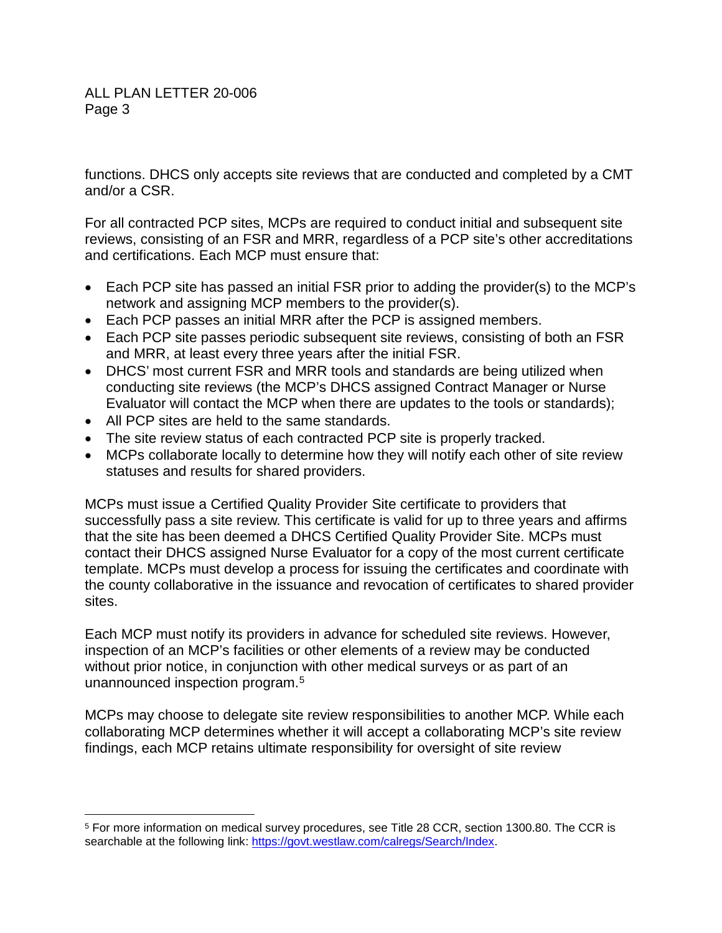$\overline{a}$ 

functions. DHCS only accepts site reviews that are conducted and completed by a CMT and/or a CSR.

For all contracted PCP sites, MCPs are required to conduct initial and subsequent site reviews, consisting of an FSR and MRR, regardless of a PCP site's other accreditations and certifications. Each MCP must ensure that:

- Each PCP site has passed an initial FSR prior to adding the provider(s) to the MCP's network and assigning MCP members to the provider(s).
- Each PCP passes an initial MRR after the PCP is assigned members.
- Each PCP site passes periodic subsequent site reviews, consisting of both an FSR and MRR, at least every three years after the initial FSR.
- DHCS' most current FSR and MRR tools and standards are being utilized when conducting site reviews (the MCP's DHCS assigned Contract Manager or Nurse Evaluator will contact the MCP when there are updates to the tools or standards);
- All PCP sites are held to the same standards.
- The site review status of each contracted PCP site is properly tracked.
- MCPs collaborate locally to determine how they will notify each other of site review statuses and results for shared providers.

MCPs must issue a Certified Quality Provider Site certificate to providers that successfully pass a site review. This certificate is valid for up to three years and affirms that the site has been deemed a DHCS Certified Quality Provider Site. MCPs must contact their DHCS assigned Nurse Evaluator for a copy of the most current certificate template. MCPs must develop a process for issuing the certificates and coordinate with the county collaborative in the issuance and revocation of certificates to shared provider sites.

Each MCP must notify its providers in advance for scheduled site reviews. However, inspection of an MCP's facilities or other elements of a review may be conducted without prior notice, in conjunction with other medical surveys or as part of an unannounced inspection program. 5

MCPs may choose to delegate site review responsibilities to another MCP. While each collaborating MCP determines whether it will accept a collaborating MCP's site review findings, each MCP retains ultimate responsibility for oversight of site review

<sup>5</sup> For more information on medical survey procedures, see Title 28 CCR, section 1300.80. The CCR is searchable at the following link: [https://govt.westlaw.com/calregs/Search/Index.](https://govt.westlaw.com/calregs/Search/Index)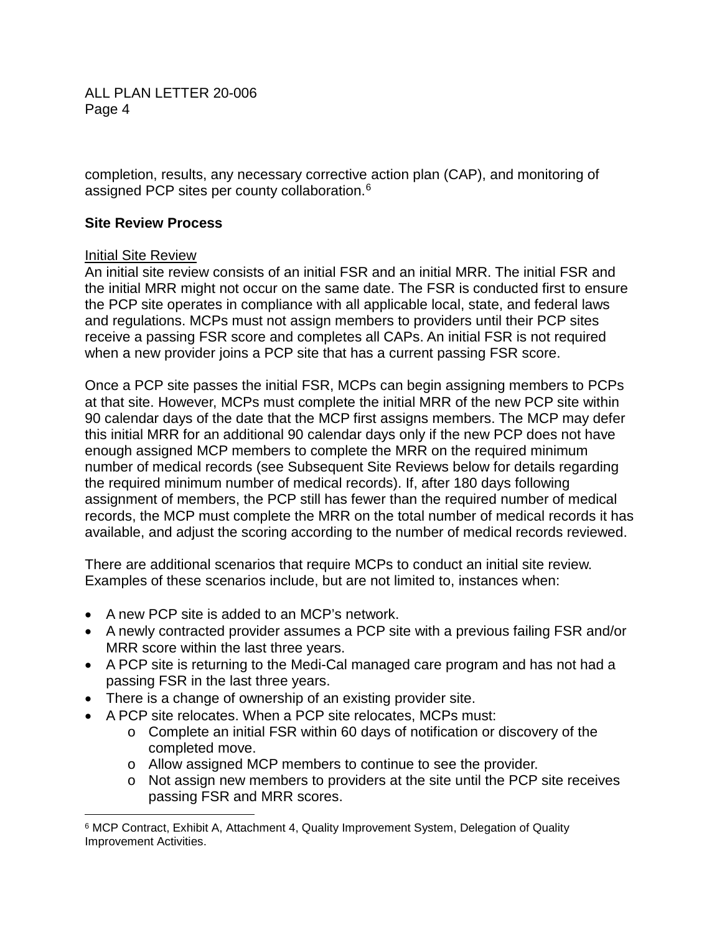completion, results, any necessary corrective action plan (CAP), and monitoring of assigned PCP sites per county collaboration. 6

#### **Site Review Process**

#### Initial Site Review

 $\overline{a}$ 

An initial site review consists of an initial FSR and an initial MRR. The initial FSR and the initial MRR might not occur on the same date. The FSR is conducted first to ensure the PCP site operates in compliance with all applicable local, state, and federal laws and regulations. MCPs must not assign members to providers until their PCP sites receive a passing FSR score and completes all CAPs. An initial FSR is not required when a new provider joins a PCP site that has a current passing FSR score.

Once a PCP site passes the initial FSR, MCPs can begin assigning members to PCPs at that site. However, MCPs must complete the initial MRR of the new PCP site within 90 calendar days of the date that the MCP first assigns members. The MCP may defer this initial MRR for an additional 90 calendar days only if the new PCP does not have enough assigned MCP members to complete the MRR on the required minimum number of medical records (see Subsequent Site Reviews below for details regarding the required minimum number of medical records). If, after 180 days following assignment of members, the PCP still has fewer than the required number of medical records, the MCP must complete the MRR on the total number of medical records it has available, and adjust the scoring according to the number of medical records reviewed.

There are additional scenarios that require MCPs to conduct an initial site review. Examples of these scenarios include, but are not limited to, instances when:

- A new PCP site is added to an MCP's network.
- A newly contracted provider assumes a PCP site with a previous failing FSR and/or MRR score within the last three years.
- A PCP site is returning to the Medi-Cal managed care program and has not had a passing FSR in the last three years.
- There is a change of ownership of an existing provider site.
- A PCP site relocates. When a PCP site relocates, MCPs must:
	- o Complete an initial FSR within 60 days of notification or discovery of the completed move.
	- o Allow assigned MCP members to continue to see the provider.
	- o Not assign new members to providers at the site until the PCP site receives passing FSR and MRR scores.

<sup>&</sup>lt;sup>6</sup> MCP Contract, Exhibit A, Attachment 4, Quality Improvement System, Delegation of Quality Improvement Activities.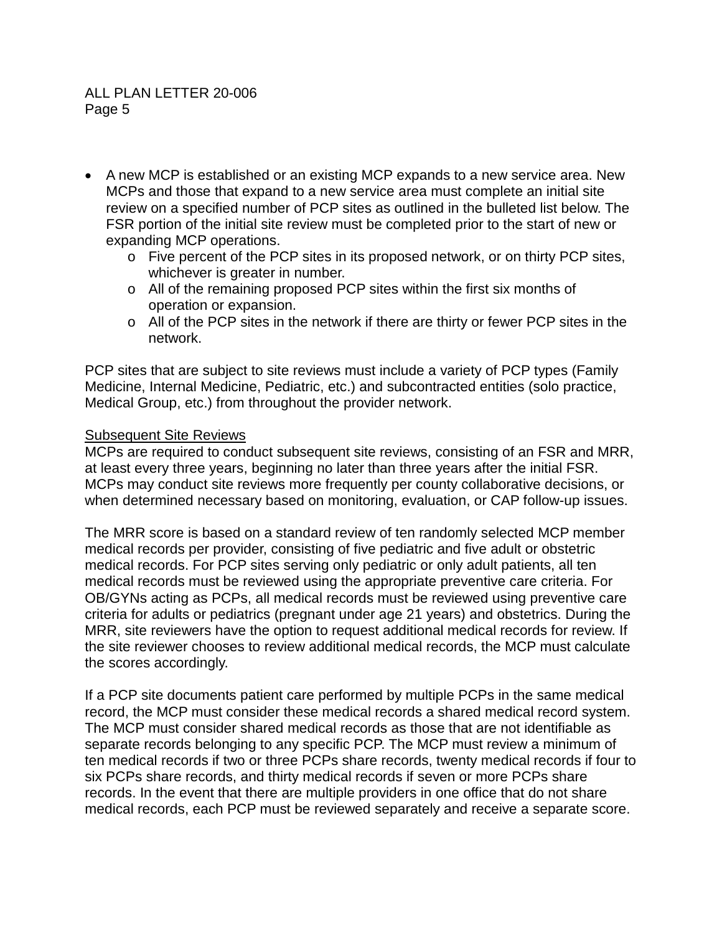- A new MCP is established or an existing MCP expands to a new service area. New MCPs and those that expand to a new service area must complete an initial site review on a specified number of PCP sites as outlined in the bulleted list below. The FSR portion of the initial site review must be completed prior to the start of new or expanding MCP operations.
	- o Five percent of the PCP sites in its proposed network, or on thirty PCP sites, whichever is greater in number.
	- o All of the remaining proposed PCP sites within the first six months of operation or expansion.
	- $\circ$  All of the PCP sites in the network if there are thirty or fewer PCP sites in the network.

PCP sites that are subject to site reviews must include a variety of PCP types (Family Medicine, Internal Medicine, Pediatric, etc.) and subcontracted entities (solo practice, Medical Group, etc.) from throughout the provider network.

## Subsequent Site Reviews

MCPs are required to conduct subsequent site reviews, consisting of an FSR and MRR, at least every three years, beginning no later than three years after the initial FSR. MCPs may conduct site reviews more frequently per county collaborative decisions, or when determined necessary based on monitoring, evaluation, or CAP follow-up issues.

The MRR score is based on a standard review of ten randomly selected MCP member medical records per provider, consisting of five pediatric and five adult or obstetric medical records. For PCP sites serving only pediatric or only adult patients, all ten medical records must be reviewed using the appropriate preventive care criteria. For OB/GYNs acting as PCPs, all medical records must be reviewed using preventive care criteria for adults or pediatrics (pregnant under age 21 years) and obstetrics. During the MRR, site reviewers have the option to request additional medical records for review. If the site reviewer chooses to review additional medical records, the MCP must calculate the scores accordingly.

If a PCP site documents patient care performed by multiple PCPs in the same medical record, the MCP must consider these medical records a shared medical record system. The MCP must consider shared medical records as those that are not identifiable as separate records belonging to any specific PCP. The MCP must review a minimum of ten medical records if two or three PCPs share records, twenty medical records if four to six PCPs share records, and thirty medical records if seven or more PCPs share records. In the event that there are multiple providers in one office that do not share medical records, each PCP must be reviewed separately and receive a separate score.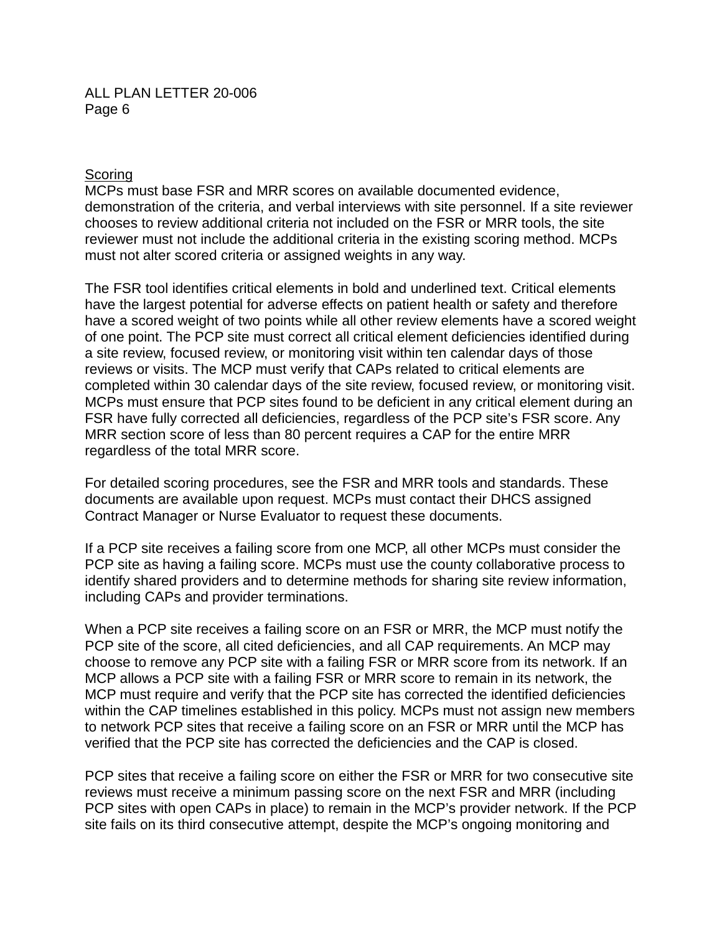#### **Scoring**

MCPs must base FSR and MRR scores on available documented evidence, demonstration of the criteria, and verbal interviews with site personnel. If a site reviewer chooses to review additional criteria not included on the FSR or MRR tools, the site reviewer must not include the additional criteria in the existing scoring method. MCPs must not alter scored criteria or assigned weights in any way.

The FSR tool identifies critical elements in bold and underlined text. Critical elements have the largest potential for adverse effects on patient health or safety and therefore have a scored weight of two points while all other review elements have a scored weight of one point. The PCP site must correct all critical element deficiencies identified during a site review, focused review, or monitoring visit within ten calendar days of those reviews or visits. The MCP must verify that CAPs related to critical elements are completed within 30 calendar days of the site review, focused review, or monitoring visit. MCPs must ensure that PCP sites found to be deficient in any critical element during an FSR have fully corrected all deficiencies, regardless of the PCP site's FSR score. Any MRR section score of less than 80 percent requires a CAP for the entire MRR regardless of the total MRR score.

For detailed scoring procedures, see the FSR and MRR tools and standards. These documents are available upon request. MCPs must contact their DHCS assigned Contract Manager or Nurse Evaluator to request these documents.

If a PCP site receives a failing score from one MCP, all other MCPs must consider the PCP site as having a failing score. MCPs must use the county collaborative process to identify shared providers and to determine methods for sharing site review information, including CAPs and provider terminations.

When a PCP site receives a failing score on an FSR or MRR, the MCP must notify the PCP site of the score, all cited deficiencies, and all CAP requirements. An MCP may choose to remove any PCP site with a failing FSR or MRR score from its network. If an MCP allows a PCP site with a failing FSR or MRR score to remain in its network, the MCP must require and verify that the PCP site has corrected the identified deficiencies within the CAP timelines established in this policy. MCPs must not assign new members to network PCP sites that receive a failing score on an FSR or MRR until the MCP has verified that the PCP site has corrected the deficiencies and the CAP is closed.

PCP sites that receive a failing score on either the FSR or MRR for two consecutive site reviews must receive a minimum passing score on the next FSR and MRR (including PCP sites with open CAPs in place) to remain in the MCP's provider network. If the PCP site fails on its third consecutive attempt, despite the MCP's ongoing monitoring and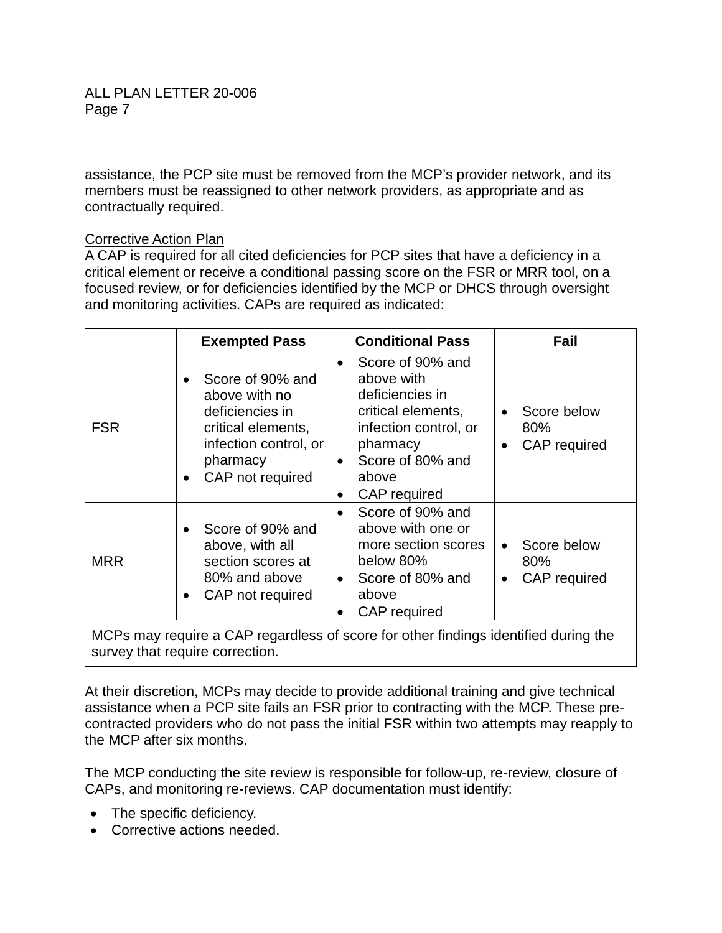assistance, the PCP site must be removed from the MCP's provider network, and its members must be reassigned to other network providers, as appropriate and as contractually required.

## Corrective Action Plan

A CAP is required for all cited deficiencies for PCP sites that have a deficiency in a critical element or receive a conditional passing score on the FSR or MRR tool, on a focused review, or for deficiencies identified by the MCP or DHCS through oversight and monitoring activities. CAPs are required as indicated:

|                                                                                                                        | <b>Exempted Pass</b>                                                                                                                             | <b>Conditional Pass</b>                                                                                                                                                                         | Fail                                                         |
|------------------------------------------------------------------------------------------------------------------------|--------------------------------------------------------------------------------------------------------------------------------------------------|-------------------------------------------------------------------------------------------------------------------------------------------------------------------------------------------------|--------------------------------------------------------------|
| <b>FSR</b>                                                                                                             | Score of 90% and<br>above with no<br>deficiencies in<br>critical elements,<br>infection control, or<br>pharmacy<br>CAP not required<br>$\bullet$ | Score of 90% and<br>$\bullet$<br>above with<br>deficiencies in<br>critical elements,<br>infection control, or<br>pharmacy<br>Score of 80% and<br>$\bullet$<br>above<br><b>CAP</b> required<br>٠ | Score below<br>$\bullet$<br>80%<br>CAP required<br>$\bullet$ |
| <b>MRR</b>                                                                                                             | Score of 90% and<br>above, with all<br>section scores at<br>80% and above<br>CAP not required<br>$\bullet$                                       | Score of 90% and<br>$\bullet$<br>above with one or<br>more section scores<br>below 80%<br>Score of 80% and<br>$\bullet$<br>above<br>CAP required<br>$\bullet$                                   | Score below<br>$\bullet$<br>80%<br>CAP required<br>$\bullet$ |
| MCPs may require a CAP regardless of score for other findings identified during the<br>survey that require correction. |                                                                                                                                                  |                                                                                                                                                                                                 |                                                              |

At their discretion, MCPs may decide to provide additional training and give technical assistance when a PCP site fails an FSR prior to contracting with the MCP. These precontracted providers who do not pass the initial FSR within two attempts may reapply to the MCP after six months.

The MCP conducting the site review is responsible for follow-up, re-review, closure of CAPs, and monitoring re-reviews. CAP documentation must identify:

- The specific deficiency.
- Corrective actions needed.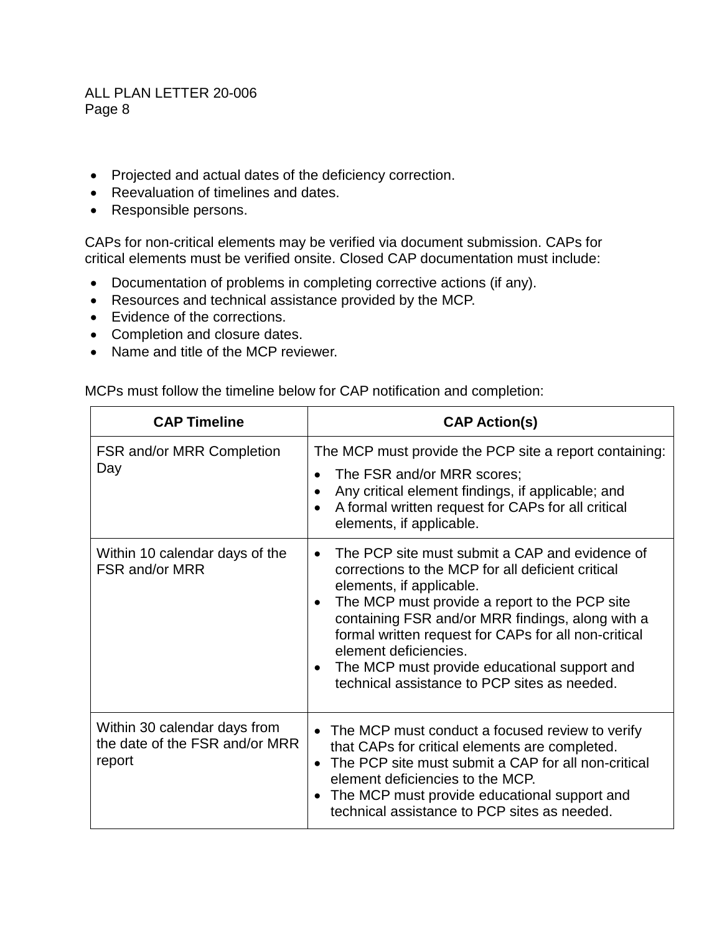- Projected and actual dates of the deficiency correction.
- Reevaluation of timelines and dates.
- Responsible persons.

CAPs for non-critical elements may be verified via document submission. CAPs for critical elements must be verified onsite. Closed CAP documentation must include:

- Documentation of problems in completing corrective actions (if any).
- Resources and technical assistance provided by the MCP.
- Evidence of the corrections.
- Completion and closure dates.
- Name and title of the MCP reviewer.

MCPs must follow the timeline below for CAP notification and completion:

| <b>CAP Timeline</b>                                                      | <b>CAP Action(s)</b>                                                                                                                                                                                                                                                                                                                                                                                                                            |
|--------------------------------------------------------------------------|-------------------------------------------------------------------------------------------------------------------------------------------------------------------------------------------------------------------------------------------------------------------------------------------------------------------------------------------------------------------------------------------------------------------------------------------------|
| <b>FSR and/or MRR Completion</b><br>Day                                  | The MCP must provide the PCP site a report containing:<br>The FSR and/or MRR scores;<br>Any critical element findings, if applicable; and<br>A formal written request for CAPs for all critical<br>elements, if applicable.                                                                                                                                                                                                                     |
| Within 10 calendar days of the<br>FSR and/or MRR                         | The PCP site must submit a CAP and evidence of<br>corrections to the MCP for all deficient critical<br>elements, if applicable.<br>The MCP must provide a report to the PCP site<br>$\bullet$<br>containing FSR and/or MRR findings, along with a<br>formal written request for CAPs for all non-critical<br>element deficiencies.<br>The MCP must provide educational support and<br>$\bullet$<br>technical assistance to PCP sites as needed. |
| Within 30 calendar days from<br>the date of the FSR and/or MRR<br>report | • The MCP must conduct a focused review to verify<br>that CAPs for critical elements are completed.<br>• The PCP site must submit a CAP for all non-critical<br>element deficiencies to the MCP.<br>The MCP must provide educational support and<br>technical assistance to PCP sites as needed.                                                                                                                                                |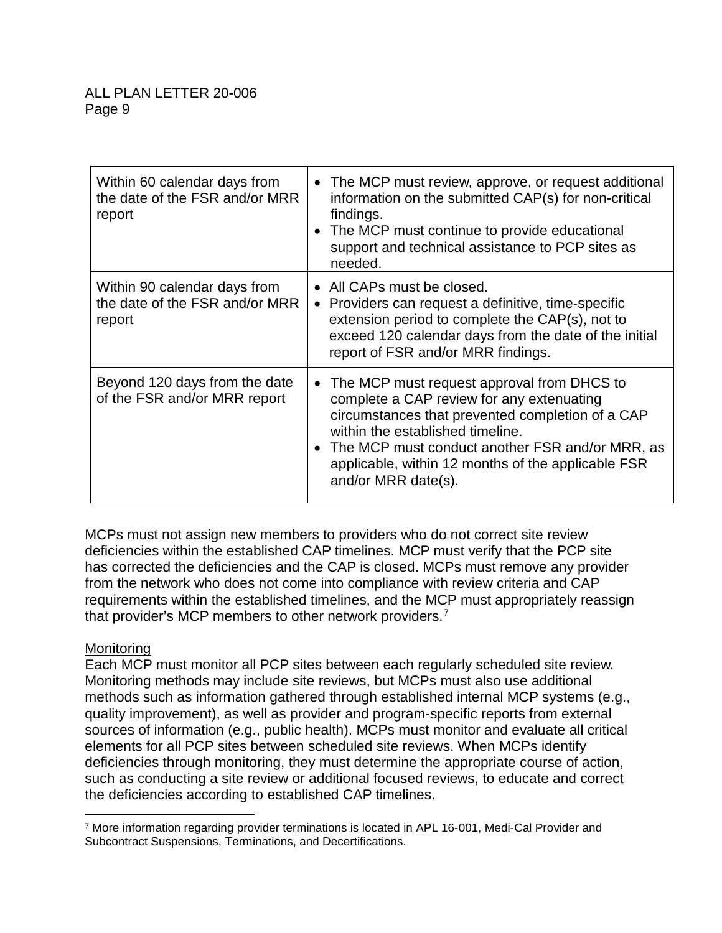| Within 60 calendar days from<br>the date of the FSR and/or MRR<br>report | • The MCP must review, approve, or request additional<br>information on the submitted CAP(s) for non-critical<br>findings.<br>• The MCP must continue to provide educational<br>support and technical assistance to PCP sites as<br>needed.                                                                         |
|--------------------------------------------------------------------------|---------------------------------------------------------------------------------------------------------------------------------------------------------------------------------------------------------------------------------------------------------------------------------------------------------------------|
| Within 90 calendar days from<br>the date of the FSR and/or MRR<br>report | • All CAPs must be closed.<br>• Providers can request a definitive, time-specific<br>extension period to complete the CAP(s), not to<br>exceed 120 calendar days from the date of the initial<br>report of FSR and/or MRR findings.                                                                                 |
| Beyond 120 days from the date<br>of the FSR and/or MRR report            | • The MCP must request approval from DHCS to<br>complete a CAP review for any extenuating<br>circumstances that prevented completion of a CAP<br>within the established timeline.<br>• The MCP must conduct another FSR and/or MRR, as<br>applicable, within 12 months of the applicable FSR<br>and/or MRR date(s). |

MCPs must not assign new members to providers who do not correct site review deficiencies within the established CAP timelines. MCP must verify that the PCP site has corrected the deficiencies and the CAP is closed. MCPs must remove any provider from the network who does not come into compliance with review criteria and CAP requirements within the established timelines, and the MCP must appropriately reassign that provider's MCP members to other network providers. 7

## Monitoring

 $\overline{a}$ 

Each MCP must monitor all PCP sites between each regularly scheduled site review. Monitoring methods may include site reviews, but MCPs must also use additional methods such as information gathered through established internal MCP systems (e.g., quality improvement), as well as provider and program-specific reports from external sources of information (e.g., public health). MCPs must monitor and evaluate all critical elements for all PCP sites between scheduled site reviews. When MCPs identify deficiencies through monitoring, they must determine the appropriate course of action, such as conducting a site review or additional focused reviews, to educate and correct the deficiencies according to established CAP timelines.

<sup>7</sup> More information regarding provider terminations is located in APL 16-001, Medi-Cal Provider and Subcontract Suspensions, Terminations, and Decertifications.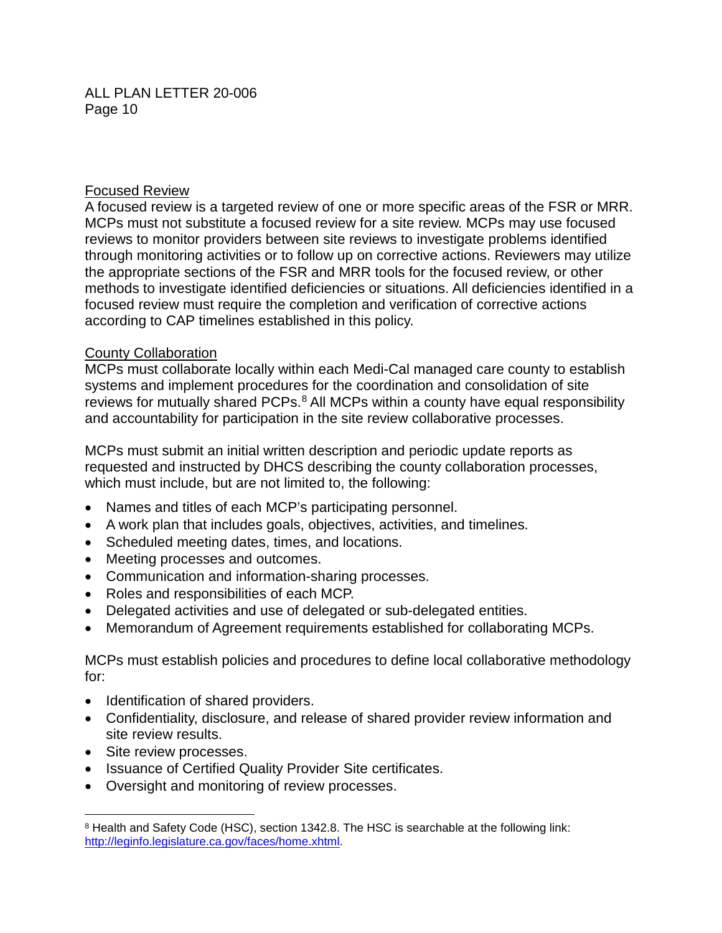## Focused Review

A focused review is a targeted review of one or more specific areas of the FSR or MRR. MCPs must not substitute a focused review for a site review. MCPs may use focused reviews to monitor providers between site reviews to investigate problems identified through monitoring activities or to follow up on corrective actions. Reviewers may utilize the appropriate sections of the FSR and MRR tools for the focused review, or other methods to investigate identified deficiencies or situations. All deficiencies identified in a focused review must require the completion and verification of corrective actions according to CAP timelines established in this policy.

## County Collaboration

MCPs must collaborate locally within each Medi-Cal managed care county to establish systems and implement procedures for the coordination and consolidation of site reviews for mutually shared PCPs.<sup>8</sup> All MCPs within a county have equal responsibility and accountability for participation in the site review collaborative processes.

MCPs must submit an initial written description and periodic update reports as requested and instructed by DHCS describing the county collaboration processes, which must include, but are not limited to, the following:

- Names and titles of each MCP's participating personnel.
- A work plan that includes goals, objectives, activities, and timelines.
- Scheduled meeting dates, times, and locations.
- Meeting processes and outcomes.
- Communication and information-sharing processes.
- Roles and responsibilities of each MCP.
- Delegated activities and use of delegated or sub-delegated entities.
- Memorandum of Agreement requirements established for collaborating MCPs.

MCPs must establish policies and procedures to define local collaborative methodology for:

- Identification of shared providers.
- Confidentiality, disclosure, and release of shared provider review information and site review results.
- Site review processes.
- Issuance of Certified Quality Provider Site certificates.
- Oversight and monitoring of review processes.

 $\overline{a}$ <sup>8</sup> Health and Safety Code (HSC), section 1342.8. The HSC is searchable at the following link: [http://leginfo.legislature.ca.gov/faces/home.xhtml.](http://leginfo.legislature.ca.gov/faces/home.xhtml)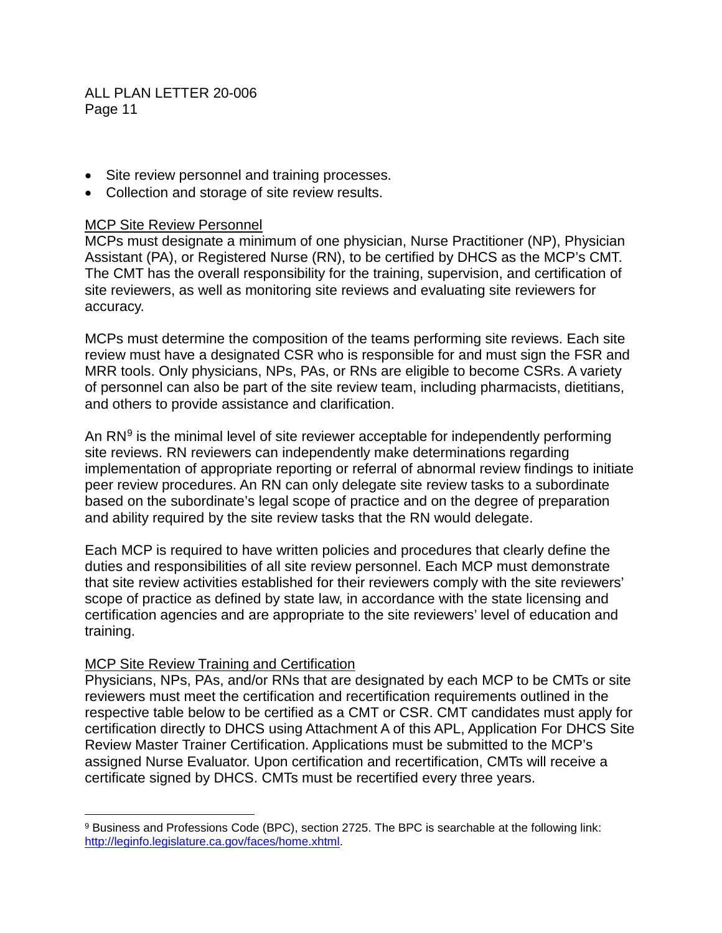- Site review personnel and training processes.
- Collection and storage of site review results.

#### MCP Site Review Personnel

MCPs must designate a minimum of one physician, Nurse Practitioner (NP), Physician Assistant (PA), or Registered Nurse (RN), to be certified by DHCS as the MCP's CMT. The CMT has the overall responsibility for the training, supervision, and certification of site reviewers, as well as monitoring site reviews and evaluating site reviewers for accuracy.

MCPs must determine the composition of the teams performing site reviews. Each site review must have a designated CSR who is responsible for and must sign the FSR and MRR tools. Only physicians, NPs, PAs, or RNs are eligible to become CSRs. A variety of personnel can also be part of the site review team, including pharmacists, dietitians, and others to provide assistance and clarification.

An  $RN<sup>9</sup>$  is the minimal level of site reviewer acceptable for independently performing site reviews. RN reviewers can independently make determinations regarding implementation of appropriate reporting or referral of abnormal review findings to initiate peer review procedures. An RN can only delegate site review tasks to a subordinate based on the subordinate's legal scope of practice and on the degree of preparation and ability required by the site review tasks that the RN would delegate.

Each MCP is required to have written policies and procedures that clearly define the duties and responsibilities of all site review personnel. Each MCP must demonstrate that site review activities established for their reviewers comply with the site reviewers' scope of practice as defined by state law, in accordance with the state licensing and certification agencies and are appropriate to the site reviewers' level of education and training.

#### MCP Site Review Training and Certification

 $\overline{a}$ 

Physicians, NPs, PAs, and/or RNs that are designated by each MCP to be CMTs or site reviewers must meet the certification and recertification requirements outlined in the respective table below to be certified as a CMT or CSR. CMT candidates must apply for certification directly to DHCS using Attachment A of this APL, Application For DHCS Site Review Master Trainer Certification. Applications must be submitted to the MCP's assigned Nurse Evaluator. Upon certification and recertification, CMTs will receive a certificate signed by DHCS. CMTs must be recertified every three years.

<sup>9</sup> Business and Professions Code (BPC), section 2725. The BPC is searchable at the following link: [http://leginfo.legislature.ca.gov/faces/home.xhtml.](http://leginfo.legislature.ca.gov/faces/home.xhtml)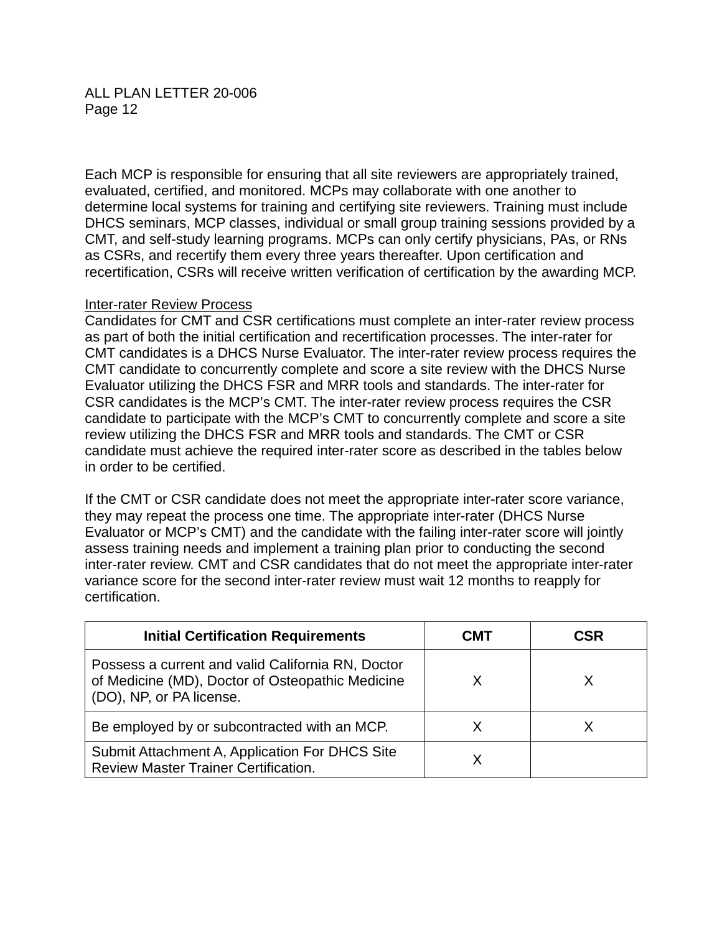Each MCP is responsible for ensuring that all site reviewers are appropriately trained, evaluated, certified, and monitored. MCPs may collaborate with one another to determine local systems for training and certifying site reviewers. Training must include DHCS seminars, MCP classes, individual or small group training sessions provided by a CMT, and self-study learning programs. MCPs can only certify physicians, PAs, or RNs as CSRs, and recertify them every three years thereafter. Upon certification and recertification, CSRs will receive written verification of certification by the awarding MCP.

#### Inter-rater Review Process

Candidates for CMT and CSR certifications must complete an inter-rater review process as part of both the initial certification and recertification processes. The inter-rater for CMT candidates is a DHCS Nurse Evaluator. The inter-rater review process requires the CMT candidate to concurrently complete and score a site review with the DHCS Nurse Evaluator utilizing the DHCS FSR and MRR tools and standards. The inter-rater for CSR candidates is the MCP's CMT. The inter-rater review process requires the CSR candidate to participate with the MCP's CMT to concurrently complete and score a site review utilizing the DHCS FSR and MRR tools and standards. The CMT or CSR candidate must achieve the required inter-rater score as described in the tables below in order to be certified.

If the CMT or CSR candidate does not meet the appropriate inter-rater score variance, they may repeat the process one time. The appropriate inter-rater (DHCS Nurse Evaluator or MCP's CMT) and the candidate with the failing inter-rater score will jointly assess training needs and implement a training plan prior to conducting the second inter-rater review. CMT and CSR candidates that do not meet the appropriate inter-rater variance score for the second inter-rater review must wait 12 months to reapply for certification.

| <b>Initial Certification Requirements</b>                                                                                         | CM I | CSR |
|-----------------------------------------------------------------------------------------------------------------------------------|------|-----|
| Possess a current and valid California RN, Doctor<br>of Medicine (MD), Doctor of Osteopathic Medicine<br>(DO), NP, or PA license. |      |     |
| Be employed by or subcontracted with an MCP.                                                                                      |      |     |
| Submit Attachment A, Application For DHCS Site<br><b>Review Master Trainer Certification.</b>                                     |      |     |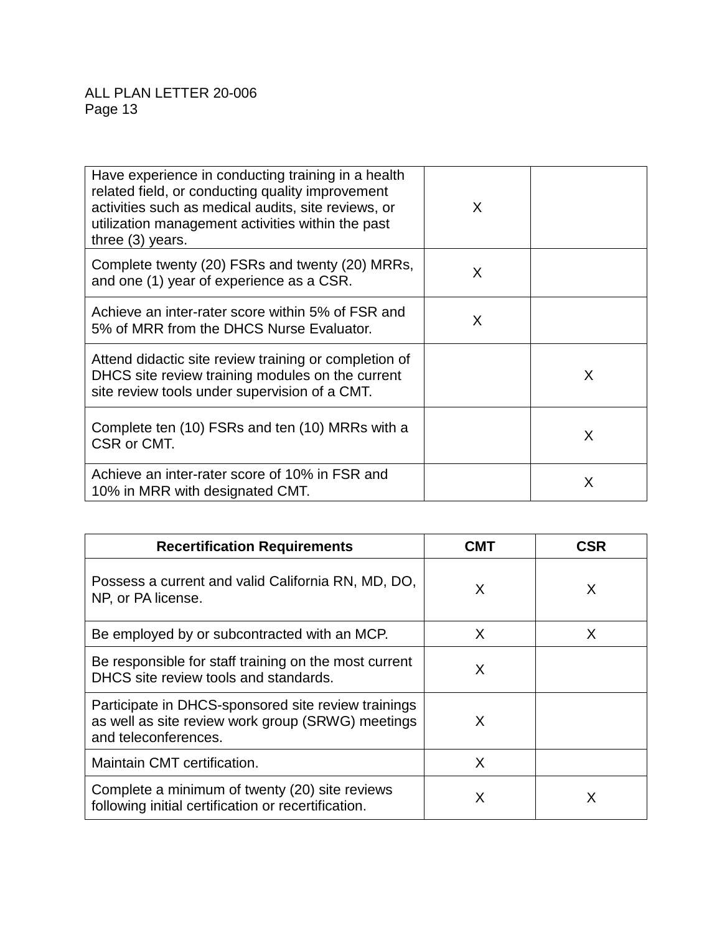| Have experience in conducting training in a health<br>related field, or conducting quality improvement<br>activities such as medical audits, site reviews, or<br>utilization management activities within the past<br>three (3) years. | X |   |
|----------------------------------------------------------------------------------------------------------------------------------------------------------------------------------------------------------------------------------------|---|---|
| Complete twenty (20) FSRs and twenty (20) MRRs,<br>and one (1) year of experience as a CSR.                                                                                                                                            | X |   |
| Achieve an inter-rater score within 5% of FSR and<br>5% of MRR from the DHCS Nurse Evaluator.                                                                                                                                          | X |   |
| Attend didactic site review training or completion of<br>DHCS site review training modules on the current<br>site review tools under supervision of a CMT.                                                                             |   | X |
| Complete ten (10) FSRs and ten (10) MRRs with a<br>CSR or CMT.                                                                                                                                                                         |   | X |
| Achieve an inter-rater score of 10% in FSR and<br>10% in MRR with designated CMT.                                                                                                                                                      |   | X |

| <b>Recertification Requirements</b>                                                                                              | CMT | CSR |
|----------------------------------------------------------------------------------------------------------------------------------|-----|-----|
| Possess a current and valid California RN, MD, DO,<br>NP, or PA license.                                                         | X   | X   |
| Be employed by or subcontracted with an MCP.                                                                                     | X   | X   |
| Be responsible for staff training on the most current<br>DHCS site review tools and standards.                                   | X   |     |
| Participate in DHCS-sponsored site review trainings<br>as well as site review work group (SRWG) meetings<br>and teleconferences. | X   |     |
| Maintain CMT certification.                                                                                                      | X   |     |
| Complete a minimum of twenty (20) site reviews<br>following initial certification or recertification.                            | X   |     |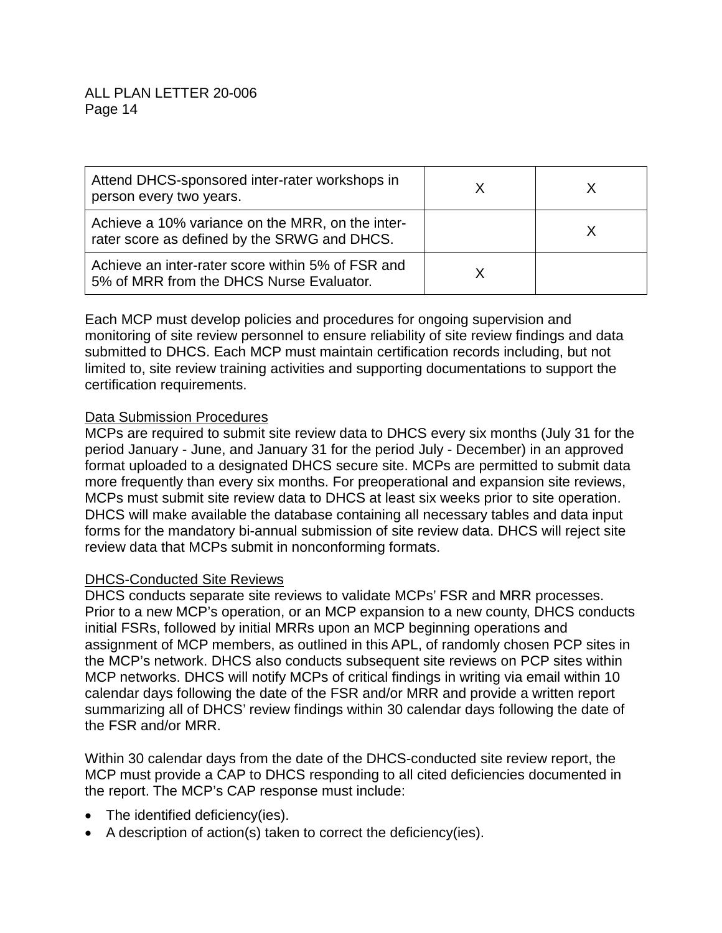| Attend DHCS-sponsored inter-rater workshops in<br>person every two years.                        |  |
|--------------------------------------------------------------------------------------------------|--|
| Achieve a 10% variance on the MRR, on the inter-<br>rater score as defined by the SRWG and DHCS. |  |
| Achieve an inter-rater score within 5% of FSR and<br>5% of MRR from the DHCS Nurse Evaluator.    |  |

Each MCP must develop policies and procedures for ongoing supervision and monitoring of site review personnel to ensure reliability of site review findings and data submitted to DHCS. Each MCP must maintain certification records including, but not limited to, site review training activities and supporting documentations to support the certification requirements.

## Data Submission Procedures

MCPs are required to submit site review data to DHCS every six months (July 31 for the period January - June, and January 31 for the period July - December) in an approved format uploaded to a designated DHCS secure site. MCPs are permitted to submit data more frequently than every six months. For preoperational and expansion site reviews, MCPs must submit site review data to DHCS at least six weeks prior to site operation. DHCS will make available the database containing all necessary tables and data input forms for the mandatory bi-annual submission of site review data. DHCS will reject site review data that MCPs submit in nonconforming formats.

## DHCS-Conducted Site Reviews

DHCS conducts separate site reviews to validate MCPs' FSR and MRR processes. Prior to a new MCP's operation, or an MCP expansion to a new county, DHCS conducts initial FSRs, followed by initial MRRs upon an MCP beginning operations and assignment of MCP members, as outlined in this APL, of randomly chosen PCP sites in the MCP's network. DHCS also conducts subsequent site reviews on PCP sites within MCP networks. DHCS will notify MCPs of critical findings in writing via email within 10 calendar days following the date of the FSR and/or MRR and provide a written report summarizing all of DHCS' review findings within 30 calendar days following the date of the FSR and/or MRR.

Within 30 calendar days from the date of the DHCS-conducted site review report, the MCP must provide a CAP to DHCS responding to all cited deficiencies documented in the report. The MCP's CAP response must include:

- The identified deficiency(ies).
- A description of action(s) taken to correct the deficiency(ies).